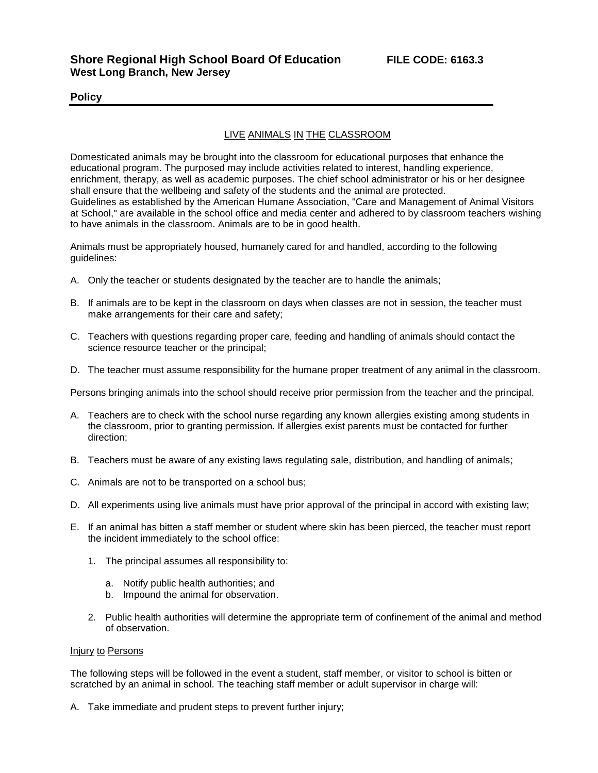### **Policy**

# LIVE ANIMALS IN THE CLASSROOM

Domesticated animals may be brought into the classroom for educational purposes that enhance the educational program. The purposed may include activities related to interest, handling experience, enrichment, therapy, as well as academic purposes. The chief school administrator or his or her designee shall ensure that the wellbeing and safety of the students and the animal are protected. Guidelines as established by the American Humane Association, "Care and Management of Animal Visitors at School," are available in the school office and media center and adhered to by classroom teachers wishing to have animals in the classroom. Animals are to be in good health.

Animals must be appropriately housed, humanely cared for and handled, according to the following guidelines:

- A. Only the teacher or students designated by the teacher are to handle the animals;
- B. If animals are to be kept in the classroom on days when classes are not in session, the teacher must make arrangements for their care and safety;
- C. Teachers with questions regarding proper care, feeding and handling of animals should contact the science resource teacher or the principal;
- D. The teacher must assume responsibility for the humane proper treatment of any animal in the classroom.

Persons bringing animals into the school should receive prior permission from the teacher and the principal.

- A. Teachers are to check with the school nurse regarding any known allergies existing among students in the classroom, prior to granting permission. If allergies exist parents must be contacted for further direction;
- B. Teachers must be aware of any existing laws regulating sale, distribution, and handling of animals;
- C. Animals are not to be transported on a school bus;
- D. All experiments using live animals must have prior approval of the principal in accord with existing law;
- E. If an animal has bitten a staff member or student where skin has been pierced, the teacher must report the incident immediately to the school office:
	- 1. The principal assumes all responsibility to:
		- a. Notify public health authorities; and
		- b. Impound the animal for observation.
	- 2. Public health authorities will determine the appropriate term of confinement of the animal and method of observation.

#### Injury to Persons

The following steps will be followed in the event a student, staff member, or visitor to school is bitten or scratched by an animal in school. The teaching staff member or adult supervisor in charge will:

A. Take immediate and prudent steps to prevent further injury;